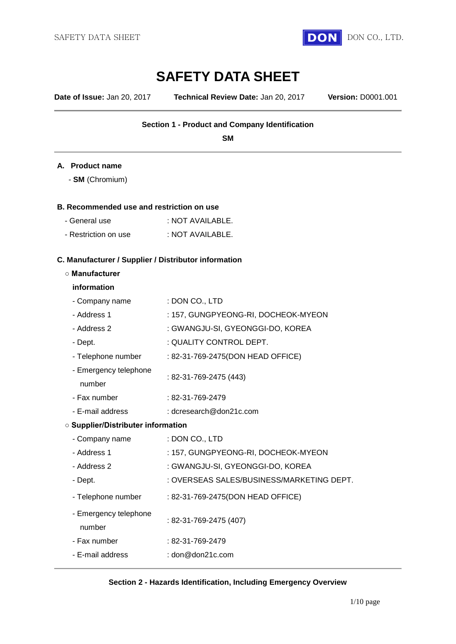

# **SAFETY DATA SHEET**

**Date of Issue:** Jan 20, 2017 **Technical Review Date:** Jan 20, 2017 **Version:** D0001.001

## **Section 1 - Product and Company Identification**

**SM**

#### **A. Product name**

- **SM** (Chromium)

#### **B. Recommended use and restriction on use**

| - General use | : NOT AVAILABLE. |
|---------------|------------------|
|               |                  |

- Restriction on use : NOT AVAILABLE.

#### **C. Manufacturer / Supplier / Distributor information**

#### **○ Manufacturer**

#### **information**

| - Company name                            | : DON CO., LTD                            |  |
|-------------------------------------------|-------------------------------------------|--|
| - Address 1                               | : 157, GUNGPYEONG-RI, DOCHEOK-MYEON       |  |
| - Address 2                               | : GWANGJU-SI, GYEONGGI-DO, KOREA          |  |
| - Dept.                                   | : QUALITY CONTROL DEPT.                   |  |
| - Telephone number                        | : 82-31-769-2475(DON HEAD OFFICE)         |  |
| - Emergency telephone<br>number           | : 82-31-769-2475 (443)                    |  |
| - Fax number                              | $: 82 - 31 - 769 - 2479$                  |  |
| - E-mail address                          | : dcresearch@don21c.com                   |  |
| <b>O Supplier/Distributer information</b> |                                           |  |
| - Company name                            | : DON CO., LTD                            |  |
| - Address 1                               | : 157, GUNGPYEONG-RI, DOCHEOK-MYEON       |  |
| - Address 2                               | : GWANGJU-SI, GYEONGGI-DO, KOREA          |  |
| - Dept.                                   | : OVERSEAS SALES/BUSINESS/MARKETING DEPT. |  |
| - Telephone number                        | : 82-31-769-2475(DON HEAD OFFICE)         |  |
| - Emergency telephone<br>number           | : 82-31-769-2475 (407)                    |  |
| - Fax number                              | : 82-31-769-2479                          |  |
| - E-mail address                          | : $dom@dom21c.com$                        |  |
|                                           |                                           |  |

#### **Section 2 - Hazards Identification, Including Emergency Overview**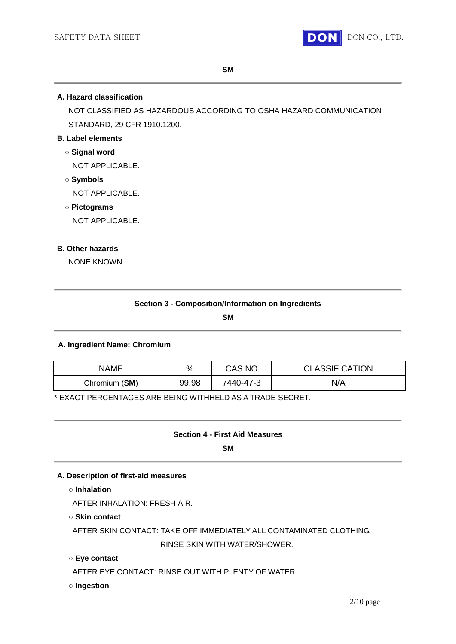

**SM**

#### **A. Hazard classification**

NOT CLASSIFIED AS HAZARDOUS ACCORDING TO OSHA HAZARD COMMUNICATION STANDARD, 29 CFR 1910.1200.

## **B. Label elements**

#### **○ Signal word**

NOT APPLICABLE.

**○ Symbols**

NOT APPLICABLE.

**○ Pictograms**

NOT APPLICABLE.

#### **B. Other hazards**

NONE KNOWN.

#### **Section 3 - Composition/Information on Ingredients**

**SM**

#### **A. Ingredient Name: Chromium**

| NAME          | %     | CAS NC    | <b>CLASSIFICATION</b> |
|---------------|-------|-----------|-----------------------|
| Chromium (SM) | 99.98 | 7440-47-3 | N/A                   |

\* EXACT PERCENTAGES ARE BEING WITHHELD AS A TRADE SECRET.

#### **Section 4 - First Aid Measures**

**SM**

## **A. Description of first-aid measures**

**○ Inhalation**

AFTER INHALATION: FRESH AIR.

**○ Skin contact**

AFTER SKIN CONTACT: TAKE OFF IMMEDIATELY ALL CONTAMINATED CLOTHING. RINSE SKIN WITH WATER/SHOWER.

#### **○ Eye contact**

AFTER EYE CONTACT: RINSE OUT WITH PLENTY OF WATER.

#### **○ Ingestion**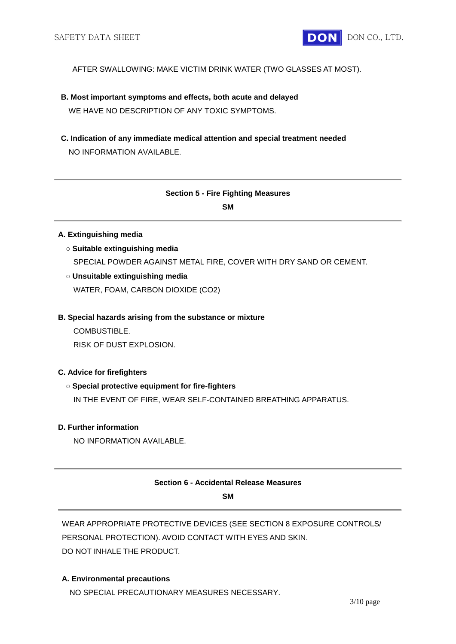AFTER SWALLOWING: MAKE VICTIM DRINK WATER (TWO GLASSES AT MOST).

- **B. Most important symptoms and effects, both acute and delayed** WE HAVE NO DESCRIPTION OF ANY TOXIC SYMPTOMS.
- **C. Indication of any immediate medical attention and special treatment needed** NO INFORMATION AVAILABLE.

# **Section 5 - Fire Fighting Measures**

**SM**

## **A. Extinguishing media**

- **○ Suitable extinguishing media** SPECIAL POWDER AGAINST METAL FIRE, COVER WITH DRY SAND OR CEMENT.
- **○ Unsuitable extinguishing media**

WATER, FOAM, CARBON DIOXIDE (CO2)

**B. Special hazards arising from the substance or mixture**

COMBUSTIBLE.

RISK OF DUST EXPLOSION.

## **C. Advice for firefighters**

## **○ Special protective equipment for fire-fighters**

IN THE EVENT OF FIRE, WEAR SELF-CONTAINED BREATHING APPARATUS.

## **D. Further information**

NO INFORMATION AVAILABLE.

## **Section 6 - Accidental Release Measures**

**SM**

WEAR APPROPRIATE PROTECTIVE DEVICES (SEE SECTION 8 EXPOSURE CONTROLS/ PERSONAL PROTECTION). AVOID CONTACT WITH EYES AND SKIN. DO NOT INHALE THE PRODUCT.

## **A. Environmental precautions**

NO SPECIAL PRECAUTIONARY MEASURES NECESSARY.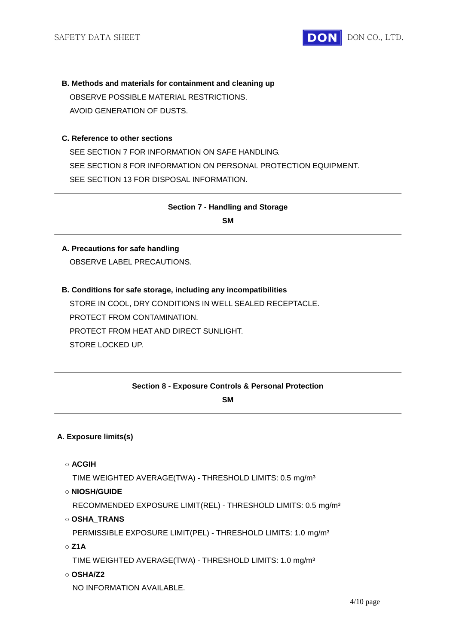

# **B. Methods and materials for containment and cleaning up** OBSERVE POSSIBLE MATERIAL RESTRICTIONS.

AVOID GENERATION OF DUSTS.

## **C. Reference to other sections**

SEE SECTION 7 FOR INFORMATION ON SAFE HANDLING. SEE SECTION 8 FOR INFORMATION ON PERSONAL PROTECTION EQUIPMENT. SEE SECTION 13 FOR DISPOSAL INFORMATION.

# **Section 7 - Handling and Storage**

**SM**

## **A. Precautions for safe handling**

OBSERVE LABEL PRECAUTIONS.

## **B. Conditions for safe storage, including any incompatibilities**

STORE IN COOL, DRY CONDITIONS IN WELL SEALED RECEPTACLE. PROTECT FROM CONTAMINATION. PROTECT FROM HEAT AND DIRECT SUNLIGHT. STORE LOCKED UP.

**Section 8 - Exposure Controls & Personal Protection** 

## **SM**

## **A. Exposure limits(s)**

**○ ACGIH**

TIME WEIGHTED AVERAGE(TWA) - THRESHOLD LIMITS: 0.5 mg/m³

**○ NIOSH/GUIDE**

RECOMMENDED EXPOSURE LIMIT(REL) - THRESHOLD LIMITS: 0.5 mg/m³

**○ OSHA\_TRANS**

PERMISSIBLE EXPOSURE LIMIT(PEL) - THRESHOLD LIMITS: 1.0 mg/m<sup>3</sup>

**○ Z1A**

TIME WEIGHTED AVERAGE(TWA) - THRESHOLD LIMITS: 1.0 mg/m³

**○ OSHA/Z2**

NO INFORMATION AVAILABLE.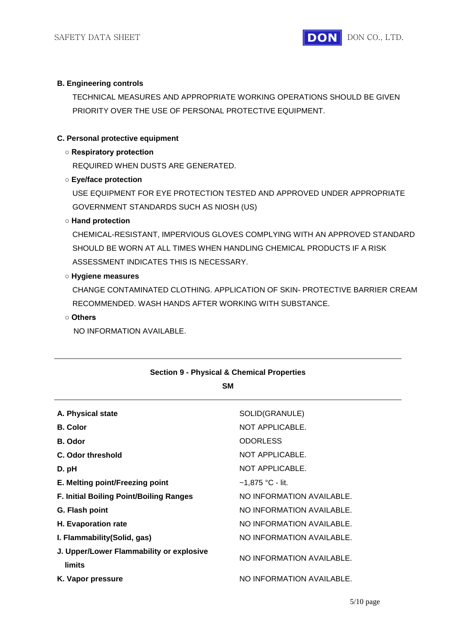

#### **B. Engineering controls**

TECHNICAL MEASURES AND APPROPRIATE WORKING OPERATIONS SHOULD BE GIVEN PRIORITY OVER THE USE OF PERSONAL PROTECTIVE EQUIPMENT.

#### **C. Personal protective equipment**

#### **○ Respiratory protection**

REQUIRED WHEN DUSTS ARE GENERATED.

## **○ Eye/face protection**

USE EQUIPMENT FOR EYE PROTECTION TESTED AND APPROVED UNDER APPROPRIATE GOVERNMENT STANDARDS SUCH AS NIOSH (US)

#### **○ Hand protection**

CHEMICAL-RESISTANT, IMPERVIOUS GLOVES COMPLYING WITH AN APPROVED STANDARD SHOULD BE WORN AT ALL TIMES WHEN HANDLING CHEMICAL PRODUCTS IF A RISK ASSESSMENT INDICATES THIS IS NECESSARY.

#### **○ Hygiene measures**

CHANGE CONTAMINATED CLOTHING. APPLICATION OF SKIN- PROTECTIVE BARRIER CREAM RECOMMENDED. WASH HANDS AFTER WORKING WITH SUBSTANCE.

## **○ Others**

NO INFORMATION AVAILABLE.

| <b>Section 9 - Physical &amp; Chemical Properties</b> |                           |  |  |  |
|-------------------------------------------------------|---------------------------|--|--|--|
| <b>SM</b>                                             |                           |  |  |  |
| A. Physical state                                     | SOLID(GRANULE)            |  |  |  |
| <b>B.</b> Color                                       | NOT APPLICABLE.           |  |  |  |
| <b>B.</b> Odor                                        | <b>ODORLESS</b>           |  |  |  |
| C. Odor threshold                                     | NOT APPLICABLE.           |  |  |  |
| D. pH                                                 | NOT APPLICABLE.           |  |  |  |
| E. Melting point/Freezing point                       | ~1,875 °C - lit.          |  |  |  |
| <b>F. Initial Boiling Point/Boiling Ranges</b>        | NO INFORMATION AVAILABLE. |  |  |  |
| G. Flash point                                        | NO INFORMATION AVAILABLE. |  |  |  |
| H. Evaporation rate                                   | NO INFORMATION AVAILABLE. |  |  |  |
| I. Flammability (Solid, gas)                          | NO INFORMATION AVAILABLE. |  |  |  |
| J. Upper/Lower Flammability or explosive<br>limits    | NO INFORMATION AVAILABLE. |  |  |  |
| K. Vapor pressure                                     | NO INFORMATION AVAILABLE. |  |  |  |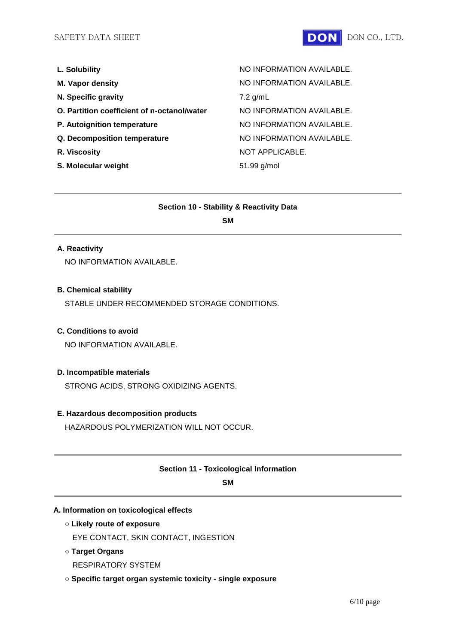

| L. Solubility                               | NO INFORMATION AVAILABLE. |
|---------------------------------------------|---------------------------|
| <b>M. Vapor density</b>                     | NO INFORMATION AVAILABLE. |
| N. Specific gravity                         | $7.2$ g/mL                |
| O. Partition coefficient of n-octanol/water | NO INFORMATION AVAILABLE. |
| P. Autoignition temperature                 | NO INFORMATION AVAILABLE. |
| Q. Decomposition temperature                | NO INFORMATION AVAILABLE. |
| R. Viscosity                                | NOT APPLICABLE.           |
| S. Molecular weight                         | 51.99 g/mol               |
|                                             |                           |

#### **Section 10 - Stability & Reactivity Data**

**SM**

#### **A. Reactivity**

NO INFORMATION AVAILABLE.

## **B. Chemical stability**

STABLE UNDER RECOMMENDED STORAGE CONDITIONS.

## **C. Conditions to avoid**

NO INFORMATION AVAILABLE.

## **D. Incompatible materials**

STRONG ACIDS, STRONG OXIDIZING AGENTS.

## **E. Hazardous decomposition products**

HAZARDOUS POLYMERIZATION WILL NOT OCCUR.

#### **Section 11 - Toxicological Information**

**SM**

#### **A. Information on toxicological effects**

**○ Likely route of exposure**

EYE CONTACT, SKIN CONTACT, INGESTION

- **○ Target Organs** RESPIRATORY SYSTEM
- **○ Specific target organ systemic toxicity - single exposure**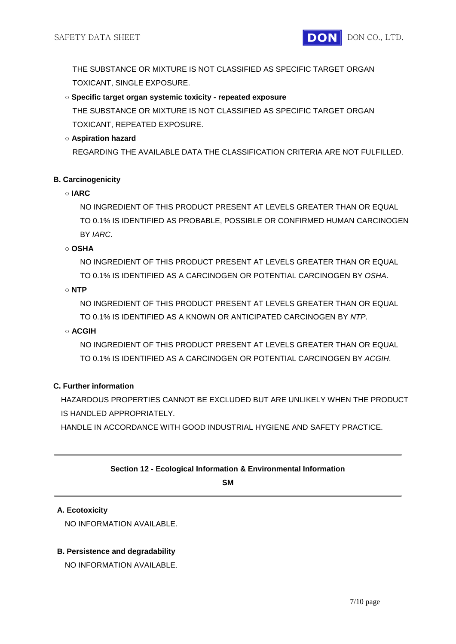THE SUBSTANCE OR MIXTURE IS NOT CLASSIFIED AS SPECIFIC TARGET ORGAN TOXICANT, SINGLE EXPOSURE.

# **○ Specific target organ systemic toxicity - repeated exposure**

THE SUBSTANCE OR MIXTURE IS NOT CLASSIFIED AS SPECIFIC TARGET ORGAN TOXICANT, REPEATED EXPOSURE.

## **○ Aspiration hazard**

REGARDING THE AVAILABLE DATA THE CLASSIFICATION CRITERIA ARE NOT FULFILLED.

## **B. Carcinogenicity**

## **○ IARC**

NO INGREDIENT OF THIS PRODUCT PRESENT AT LEVELS GREATER THAN OR EQUAL TO 0.1% IS IDENTIFIED AS PROBABLE, POSSIBLE OR CONFIRMED HUMAN CARCINOGEN BY *IARC*.

## **○ OSHA**

NO INGREDIENT OF THIS PRODUCT PRESENT AT LEVELS GREATER THAN OR EQUAL TO 0.1% IS IDENTIFIED AS A CARCINOGEN OR POTENTIAL CARCINOGEN BY *OSHA*.

## **○ NTP**

NO INGREDIENT OF THIS PRODUCT PRESENT AT LEVELS GREATER THAN OR EQUAL TO 0.1% IS IDENTIFIED AS A KNOWN OR ANTICIPATED CARCINOGEN BY *NTP*.

# **○ ACGIH**

NO INGREDIENT OF THIS PRODUCT PRESENT AT LEVELS GREATER THAN OR EQUAL TO 0.1% IS IDENTIFIED AS A CARCINOGEN OR POTENTIAL CARCINOGEN BY *ACGIH*.

# **C. Further information**

HAZARDOUS PROPERTIES CANNOT BE EXCLUDED BUT ARE UNLIKELY WHEN THE PRODUCT IS HANDLED APPROPRIATELY.

HANDLE IN ACCORDANCE WITH GOOD INDUSTRIAL HYGIENE AND SAFETY PRACTICE.

## **Section 12 - Ecological Information & Environmental Information**

**SM**

## **A. Ecotoxicity**

NO INFORMATION AVAILABLE.

## **B. Persistence and degradability**

NO INFORMATION AVAILABLE.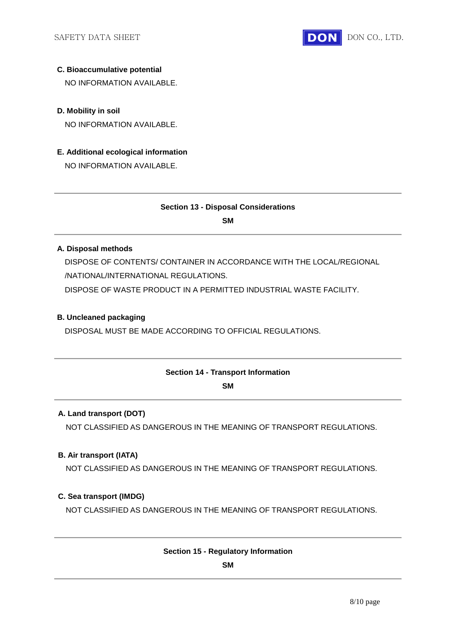

## **C. Bioaccumulative potential**

NO INFORMATION AVAILABLE.

## **D. Mobility in soil**

NO INFORMATION AVAILABLE.

## **E. Additional ecological information**

NO INFORMATION AVAILABLE.

## **Section 13 - Disposal Considerations**

**SM**

## **A. Disposal methods**

DISPOSE OF CONTENTS/ CONTAINER IN ACCORDANCE WITH THE LOCAL/REGIONAL /NATIONAL/INTERNATIONAL REGULATIONS.

DISPOSE OF WASTE PRODUCT IN A PERMITTED INDUSTRIAL WASTE FACILITY.

## **B. Uncleaned packaging**

DISPOSAL MUST BE MADE ACCORDING TO OFFICIAL REGULATIONS.

#### **Section 14 - Transport Information**

**SM**

## **A. Land transport (DOT)**

NOT CLASSIFIED AS DANGEROUS IN THE MEANING OF TRANSPORT REGULATIONS.

## **B. Air transport (IATA)**

NOT CLASSIFIED AS DANGEROUS IN THE MEANING OF TRANSPORT REGULATIONS.

#### **C. Sea transport (IMDG)**

NOT CLASSIFIED AS DANGEROUS IN THE MEANING OF TRANSPORT REGULATIONS.

#### **Section 15 - Regulatory Information**

**SM**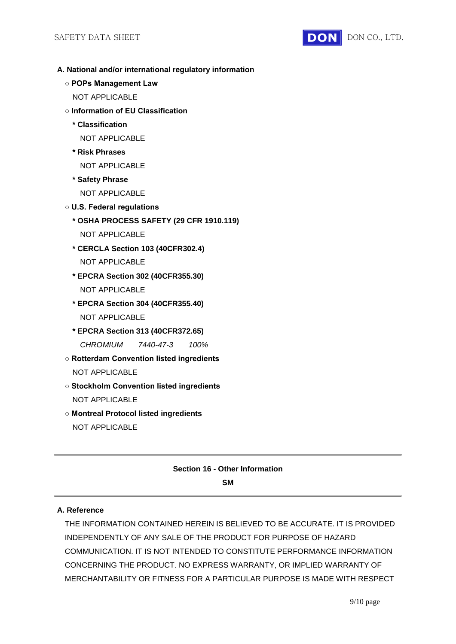

- **A. National and/or international regulatory information**
	- **POPs Management Law**
		- NOT APPLICABLE
	- **Information of EU Classification**
		- **\* Classification**
			- NOT APPLICABLE
		- **\* Risk Phrases** NOT APPLICABLE
		- **\* Safety Phrase**
			- NOT APPLICABLE
	- **U.S. Federal regulations**
		- **\* OSHA PROCESS SAFETY (29 CFR 1910.119)**
			- NOT APPLICABLE
		- **\* CERCLA Section 103 (40CFR302.4)**
			- NOT APPLICABLE
		- **\* EPCRA Section 302 (40CFR355.30)** NOT APPLICABLE
		- **\* EPCRA Section 304 (40CFR355.40)** NOT APPLICABLE
		- **\* EPCRA Section 313 (40CFR372.65)** *CHROMIUM 7440-47-3 100%*
	- **Rotterdam Convention listed ingredients** NOT APPLICABLE
	- **Stockholm Convention listed ingredients** NOT APPLICABLE
	- **Montreal Protocol listed ingredients** NOT APPLICABLE

#### **Section 16 - Other Information**

**SM**

#### **A. Reference**

THE INFORMATION CONTAINED HEREIN IS BELIEVED TO BE ACCURATE. IT IS PROVIDED INDEPENDENTLY OF ANY SALE OF THE PRODUCT FOR PURPOSE OF HAZARD COMMUNICATION. IT IS NOT INTENDED TO CONSTITUTE PERFORMANCE INFORMATION CONCERNING THE PRODUCT. NO EXPRESS WARRANTY, OR IMPLIED WARRANTY OF MERCHANTABILITY OR FITNESS FOR A PARTICULAR PURPOSE IS MADE WITH RESPECT